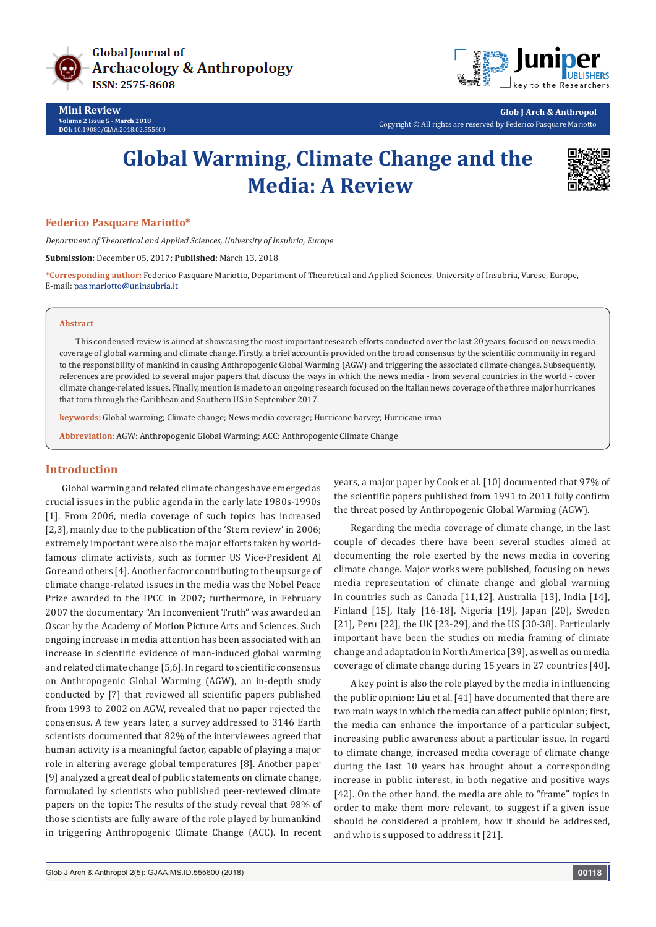

**Mini Review Volume 2 Issue 5 - March 2018 DOI:** [10.19080/GJAA.2018.02.555600](http://dx.doi.org/10.19080/GJAA.2018.02.555600)



**Glob J Arch & Anthropol** Copyright © All rights are reserved by Federico Pasquare Mariotto

# **Global Warming, Climate Change and the Media: A Review**



### **Federico Pasquare Mariotto\***

*Department of Theoretical and Applied Sciences, University of Insubria, Europe*

**Submission:** December 05, 2017**; Published:** March 13, 2018

**\*Corresponding author:** Federico Pasquare Mariotto, Department of Theoretical and Applied Sciences, University of Insubria, Varese, Europe, E-mail: pas.mariotto@uninsubria.it

#### **Abstract**

This condensed review is aimed at showcasing the most important research efforts conducted over the last 20 years, focused on news media coverage of global warming and climate change. Firstly, a brief account is provided on the broad consensus by the scientific community in regard to the responsibility of mankind in causing Anthropogenic Global Warming (AGW) and triggering the associated climate changes. Subsequently, references are provided to several major papers that discuss the ways in which the news media - from several countries in the world - cover climate change-related issues. Finally, mention is made to an ongoing research focused on the Italian news coverage of the three major hurricanes that torn through the Caribbean and Southern US in September 2017.

**keywords:** Global warming; Climate change; News media coverage; Hurricane harvey; Hurricane irma

**Abbreviation:** AGW: Anthropogenic Global Warming; ACC: Anthropogenic Climate Change

## **Introduction**

Global warming and related climate changes have emerged as crucial issues in the public agenda in the early late 1980s-1990s [1]. From 2006, media coverage of such topics has increased [2,3], mainly due to the publication of the 'Stern review' in 2006; extremely important were also the major efforts taken by worldfamous climate activists, such as former US Vice-President Al Gore and others [4]. Another factor contributing to the upsurge of climate change-related issues in the media was the Nobel Peace Prize awarded to the IPCC in 2007; furthermore, in February 2007 the documentary "An Inconvenient Truth" was awarded an Oscar by the Academy of Motion Picture Arts and Sciences. Such ongoing increase in media attention has been associated with an increase in scientific evidence of man-induced global warming and related climate change [5,6]. In regard to scientific consensus on Anthropogenic Global Warming (AGW), an in-depth study conducted by [7] that reviewed all scientific papers published from 1993 to 2002 on AGW, revealed that no paper rejected the consensus. A few years later, a survey addressed to 3146 Earth scientists documented that 82% of the interviewees agreed that human activity is a meaningful factor, capable of playing a major role in altering average global temperatures [8]. Another paper [9] analyzed a great deal of public statements on climate change, formulated by scientists who published peer-reviewed climate papers on the topic: The results of the study reveal that 98% of those scientists are fully aware of the role played by humankind in triggering Anthropogenic Climate Change (ACC). In recent

years, a major paper by Cook et al. [10] documented that 97% of the scientific papers published from 1991 to 2011 fully confirm the threat posed by Anthropogenic Global Warming (AGW).

Regarding the media coverage of climate change, in the last couple of decades there have been several studies aimed at documenting the role exerted by the news media in covering climate change. Major works were published, focusing on news media representation of climate change and global warming in countries such as Canada [11,12], Australia [13], India [14], Finland [15], Italy [16-18], Nigeria [19], Japan [20], Sweden [21], Peru [22], the UK [23-29], and the US [30-38]. Particularly important have been the studies on media framing of climate change and adaptation in North America [39], as well as on media coverage of climate change during 15 years in 27 countries [40].

A key point is also the role played by the media in influencing the public opinion: Liu et al. [41] have documented that there are two main ways in which the media can affect public opinion; first, the media can enhance the importance of a particular subject, increasing public awareness about a particular issue. In regard to climate change, increased media coverage of climate change during the last 10 years has brought about a corresponding increase in public interest, in both negative and positive ways [42]. On the other hand, the media are able to "frame" topics in order to make them more relevant, to suggest if a given issue should be considered a problem, how it should be addressed, and who is supposed to address it [21].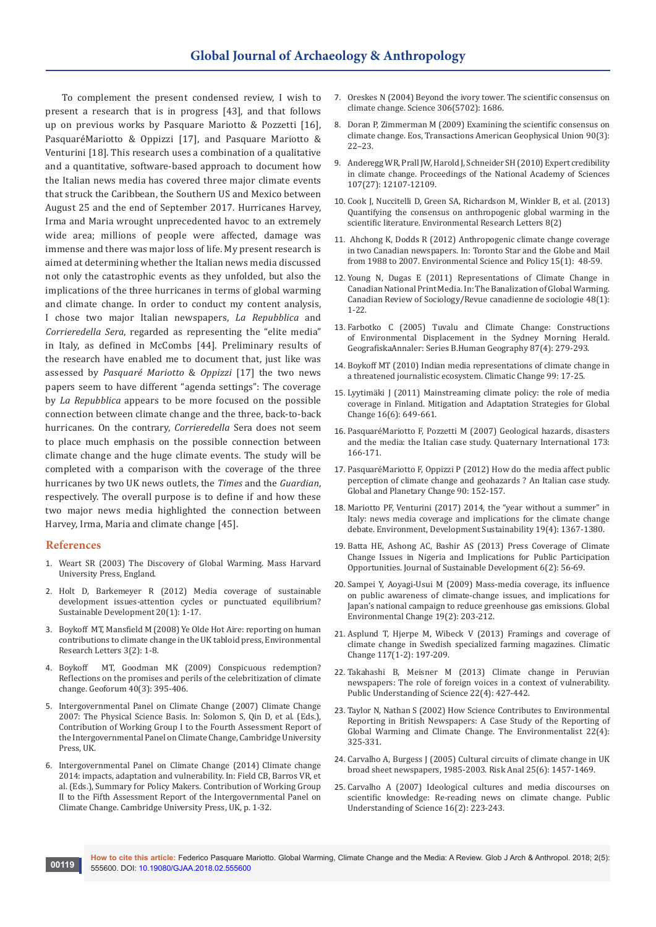To complement the present condensed review, I wish to present a research that is in progress [43], and that follows up on previous works by Pasquare Mariotto & Pozzetti [16], PasquaréMariotto & Oppizzi [17], and Pasquare Mariotto & Venturini [18]. This research uses a combination of a qualitative and a quantitative, software-based approach to document how the Italian news media has covered three major climate events that struck the Caribbean, the Southern US and Mexico between August 25 and the end of September 2017. Hurricanes Harvey, Irma and Maria wrought unprecedented havoc to an extremely wide area; millions of people were affected, damage was immense and there was major loss of life. My present research is aimed at determining whether the Italian news media discussed not only the catastrophic events as they unfolded, but also the implications of the three hurricanes in terms of global warming and climate change. In order to conduct my content analysis, I chose two major Italian newspapers, *La Repubblica* and *Corrieredella Sera*, regarded as representing the "elite media" in Italy, as defined in McCombs [44]. Preliminary results of the research have enabled me to document that, just like was assessed by *Pasquaré Mariotto* & *Oppizzi* [17] the two news papers seem to have different "agenda settings": The coverage by *La Repubblica* appears to be more focused on the possible connection between climate change and the three, back-to-back hurricanes. On the contrary, *Corrieredella* Sera does not seem to place much emphasis on the possible connection between climate change and the huge climate events. The study will be completed with a comparison with the coverage of the three hurricanes by two UK news outlets, the *Times* and the *Guardian*, respectively. The overall purpose is to define if and how these two major news media highlighted the connection between Harvey, Irma, Maria and climate change [45].

#### **References**

- 1. Weart SR (2003) The Discovery of Global Warming. Mass Harvard University Press, England.
- 2. [Holt D, Barkemeyer R \(2012\) Media coverage of sustainable](http://onlinelibrary.wiley.com/doi/10.1002/sd.460/abstract)  [development issues-attention cycles or punctuated equilibrium?](http://onlinelibrary.wiley.com/doi/10.1002/sd.460/abstract)  [Sustainable Development 20\(1\): 1-17.](http://onlinelibrary.wiley.com/doi/10.1002/sd.460/abstract)
- 3. Boykoff MT, Mansfield M (2008) Ye Olde Hot Aire: reporting on human contributions to climate change in the UK tabloid press, Environmental Research Letters 3(2): 1-8.
- 4. Boykoff MT, Goodman MK (2009) Conspicuous redemption? Reflections on the promises and perils of the celebritization of climate change. Geoforum 40(3): 395-406.
- 5. Intergovernmental Panel on Climate Change (2007) Climate Change 2007: The Physical Science Basis. In: Solomon S, Qin D, et al. (Eds.), Contribution of Working Group I to the Fourth Assessment Report of the Intergovernmental Panel on Climate Change, Cambridge University Press, UK.
- 6. Intergovernmental Panel on Climate Change (2014) Climate change 2014: impacts, adaptation and vulnerability. In: Field CB, Barros VR, et al. (Eds.), Summary for Policy Makers. Contribution of Working Group II to the Fifth Assessment Report of the Intergovernmental Panel on Climate Change. Cambridge University Press, UK, p. 1-32.
- 7. [Oreskes N \(2004\) Beyond the ivory tower. The scientific consensus on](https://www.ncbi.nlm.nih.gov/pubmed/15576594)  [climate change. Science 306\(5702\): 1686.](https://www.ncbi.nlm.nih.gov/pubmed/15576594)
- 8. [Doran P, Zimmerman M \(2009\) Examining the scientific consensus on](http://onlinelibrary.wiley.com/doi/10.1029/2009EO030002/abstract)  [climate change. Eos, Transactions American Geophysical Union 90\(3\):](http://onlinelibrary.wiley.com/doi/10.1029/2009EO030002/abstract)  [22–23.](http://onlinelibrary.wiley.com/doi/10.1029/2009EO030002/abstract)
- 9. [Anderegg WR, Prall JW, Harold J, Schneider SH \(2010\) Expert credibility](http://www.pnas.org/content/107/27/12107)  [in climate change. Proceedings of the National Academy of Sciences](http://www.pnas.org/content/107/27/12107)  [107\(27\): 12107-12109.](http://www.pnas.org/content/107/27/12107)
- 10. Cook J, Nuccitelli D, Green SA, [Richardson M, Winkler B, et al. \(2013\)](http://iopscience.iop.org/article/10.1088/1748-9326/8/2/024024/meta)  [Quantifying the consensus on anthropogenic global warming in the](http://iopscience.iop.org/article/10.1088/1748-9326/8/2/024024/meta)  scientific literature. [Environmental Research Letters 8\(2\)](http://iopscience.iop.org/article/10.1088/1748-9326/8/2/024024/meta)
- 11. Ahchong K, Dodds R (2012) Anthropogenic climate change coverage in two Canadian newspapers. In: Toronto Star and the Globe and Mail from 1988 to 2007. Environmental Science and Policy 15(1): 48-59.
- 12. [Young N, Dugas E \(2011\) Representations of Climate Change in](http://onlinelibrary.wiley.com/doi/10.1111/j.1755-618X.2011.01247.x/abstract)  [Canadian National Print Media. In: The Banalization of Global Warming.](http://onlinelibrary.wiley.com/doi/10.1111/j.1755-618X.2011.01247.x/abstract)  [Canadian Review of Sociology/Revue canadienne de sociologie 48\(1\):](http://onlinelibrary.wiley.com/doi/10.1111/j.1755-618X.2011.01247.x/abstract)  [1-22.](http://onlinelibrary.wiley.com/doi/10.1111/j.1755-618X.2011.01247.x/abstract)
- 13. [Farbotko C \(2005\) Tuvalu and Climate Change: Constructions](http://onlinelibrary.wiley.com/doi/10.1111/j.0435-3684.2005.00199.x/abstract)  [of Environmental Displacement in the Sydney Morning Herald.](http://onlinelibrary.wiley.com/doi/10.1111/j.0435-3684.2005.00199.x/abstract)  [GeografiskaAnnaler: Series B.Human Geography 87\(4\): 279-293.](http://onlinelibrary.wiley.com/doi/10.1111/j.0435-3684.2005.00199.x/abstract)
- 14. Boykoff MT (2010) Indian media representations of climate change in a threatened journalistic ecosystem. Climatic Change 99: 17-25.
- 15. Lyytimäki J (2011) Mainstreaming climate policy: the role of media coverage in Finland. Mitigation and Adaptation Strategies for Global Change 16(6): 649-661.
- 16. PasquaréMariotto F, Pozzetti M (2007) Geological hazards, disasters and the media: the Italian case study. Quaternary International 173: 166-171.
- 17. PasquaréMariotto F, Oppizzi P (2012) How do the media affect public perception of climate change and geohazards ? An Italian case study. Global and Planetary Change 90: 152-157.
- 18. [Mariotto PF, Venturini \(2017\) 2014, the "year without a summer" in](https://ideas.repec.org/a/spr/endesu/v19y2017i4d10.1007_s10668-016-9805-8.html)  [Italy: news media coverage and implications for the climate change](https://ideas.repec.org/a/spr/endesu/v19y2017i4d10.1007_s10668-016-9805-8.html)  [debate. Environment, Development Sustainability 19\(4\): 1367-1380.](https://ideas.repec.org/a/spr/endesu/v19y2017i4d10.1007_s10668-016-9805-8.html)
- 19. [Batta HE, Ashong AC, Bashir AS \(2013\) Press Coverage of Climate](http://www.ccsenet.org/journal/index.php/jsd/article/view/24044)  [Change Issues in Nigeria and Implications for Public Participation](http://www.ccsenet.org/journal/index.php/jsd/article/view/24044)  [Opportunities. Journal of Sustainable Development 6\(2\): 56-69.](http://www.ccsenet.org/journal/index.php/jsd/article/view/24044)
- 20. [Sampei Y, Aoyagi-Usui M \(2009\) Mass-media coverage, its influence](https://www.cabdirect.org/cabdirect/abstract/20093157355)  [on public awareness of climate-change issues, and implications for](https://www.cabdirect.org/cabdirect/abstract/20093157355)  [Japan's national campaign to reduce greenhouse gas emissions. Global](https://www.cabdirect.org/cabdirect/abstract/20093157355)  [Environmental Change 19\(2\): 203-212.](https://www.cabdirect.org/cabdirect/abstract/20093157355)
- 21. [Asplund T, Hjerpe M, Wibeck V \(2013\) Framings and coverage of](http://www.diva-portal.org/smash/record.jsf?pid=diva2%3A548631&dswid=article)  [climate change in Swedish specialized farming magazines. Climatic](http://www.diva-portal.org/smash/record.jsf?pid=diva2%3A548631&dswid=article)  [Change 117\(1-2\): 197-209.](http://www.diva-portal.org/smash/record.jsf?pid=diva2%3A548631&dswid=article)
- 22. [Takahashi B, Meisner M \(2013\) Climate change in Peruvian](http://journals.sagepub.com/doi/abs/10.1177/0963662511431204)  [newspapers: The role of foreign voices in a context of vulnerability.](http://journals.sagepub.com/doi/abs/10.1177/0963662511431204)  [Public Understanding of Science 22\(4\): 427-442.](http://journals.sagepub.com/doi/abs/10.1177/0963662511431204)
- 23. [Taylor N, Nathan S \(2002\) How Science Contributes to Environmental](https://link.springer.com/article/10.1023/A%3A1020762813548)  [Reporting in British Newspapers: A Case Study of the Reporting of](https://link.springer.com/article/10.1023/A%3A1020762813548)  [Global Warming and Climate Change. The Environmentalist 22\(4\):](https://link.springer.com/article/10.1023/A%3A1020762813548)  [325-331.](https://link.springer.com/article/10.1023/A%3A1020762813548)
- 24. [Carvalho A, Burgess J \(2005\) Cultural circuits of climate change in UK](https://www.ncbi.nlm.nih.gov/pubmed/16506975)  [broad sheet newspapers, 1985-2003. Risk Anal 25\(6\): 1457-1469.](https://www.ncbi.nlm.nih.gov/pubmed/16506975)
- 25. [Carvalho A \(2007\) Ideological cultures and media discourses on](http://journals.sagepub.com/doi/abs/10.1177/0963662506066775)  [scientific knowledge: Re-reading news on climate change. Public](http://journals.sagepub.com/doi/abs/10.1177/0963662506066775)  [Understanding of Science 16\(2\): 223-243.](http://journals.sagepub.com/doi/abs/10.1177/0963662506066775)